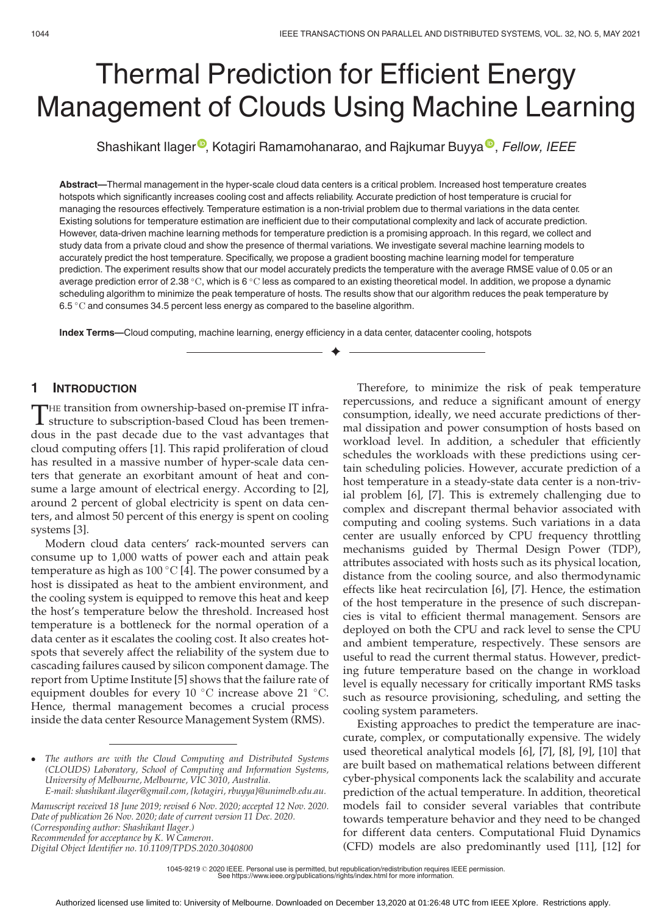# Thermal Prediction for Efficient Energy Management of Clouds Using Machine Learning

Shashikant Ilage[r](https://orcid.org/0000-0003-1178-6582)<sup>®</sup>[,](https://orcid.org/0000-0003-1178-6582) Kotagiri Ramamohanarao, and Rajkumar Buyya<sup>®</sup>, Fellow, IEEE

Abstract—Thermal management in the hyper-scale cloud data centers is a critical problem. Increased host temperature creates hotspots which significantly increases cooling cost and affects reliability. Accurate prediction of host temperature is crucial for managing the resources effectively. Temperature estimation is a non-trivial problem due to thermal variations in the data center. Existing solutions for temperature estimation are inefficient due to their computational complexity and lack of accurate prediction. However, data-driven machine learning methods for temperature prediction is a promising approach. In this regard, we collect and study data from a private cloud and show the presence of thermal variations. We investigate several machine learning models to accurately predict the host temperature. Specifically, we propose a gradient boosting machine learning model for temperature prediction. The experiment results show that our model accurately predicts the temperature with the average RMSE value of 0.05 or an average prediction error of 2.38 °C, which is 6 °C less as compared to an existing theoretical model. In addition, we propose a dynamic scheduling algorithm to minimize the peak temperature of hosts. The results show that our algorithm reduces the peak temperature by 6.5 °C and consumes 34.5 percent less energy as compared to the baseline algorithm.

 $\bigstar$ 

Index Terms—Cloud computing, machine learning, energy efficiency in a data center, datacenter cooling, hotspots

# 1 INTRODUCTION

THE transition from ownership-based on-premise IT infra-<br>structure to subscription-based Cloud has been tremen-<br>drop in the part of subscription in the part of the part of the part of the part of the part of the part of th dous in the past decade due to the vast advantages that cloud computing offers [1]. This rapid proliferation of cloud has resulted in a massive number of hyper-scale data centers that generate an exorbitant amount of heat and consume a large amount of electrical energy. According to [2], around 2 percent of global electricity is spent on data centers, and almost 50 percent of this energy is spent on cooling systems [3].

Modern cloud data centers' rack-mounted servers can consume up to 1,000 watts of power each and attain peak temperature as high as  $100\,^{\circ}\text{C}$  [4]. The power consumed by a host is dissipated as heat to the ambient environment, and the cooling system is equipped to remove this heat and keep the host's temperature below the threshold. Increased host temperature is a bottleneck for the normal operation of a data center as it escalates the cooling cost. It also creates hotspots that severely affect the reliability of the system due to cascading failures caused by silicon component damage. The report from Uptime Institute [5] shows that the failure rate of equipment doubles for every 10  $\degree$ C increase above 21  $\degree$ C. Hence, thermal management becomes a crucial process inside the data center Resource Management System (RMS).

Manuscript received 18 June 2019; revised 6 Nov. 2020; accepted 12 Nov. 2020. Date of publication 26 Nov. 2020; date of current version 11 Dec. 2020. (Corresponding author: Shashikant Ilager.) Recommended for acceptance by K. W Cameron. Digital Object Identifier no. 10.1109/TPDS.2020.3040800

Therefore, to minimize the risk of peak temperature repercussions, and reduce a significant amount of energy consumption, ideally, we need accurate predictions of thermal dissipation and power consumption of hosts based on workload level. In addition, a scheduler that efficiently schedules the workloads with these predictions using certain scheduling policies. However, accurate prediction of a host temperature in a steady-state data center is a non-trivial problem [6], [7]. This is extremely challenging due to complex and discrepant thermal behavior associated with computing and cooling systems. Such variations in a data center are usually enforced by CPU frequency throttling mechanisms guided by Thermal Design Power (TDP), attributes associated with hosts such as its physical location, distance from the cooling source, and also thermodynamic effects like heat recirculation [6], [7]. Hence, the estimation of the host temperature in the presence of such discrepancies is vital to efficient thermal management. Sensors are deployed on both the CPU and rack level to sense the CPU and ambient temperature, respectively. These sensors are useful to read the current thermal status. However, predicting future temperature based on the change in workload level is equally necessary for critically important RMS tasks such as resource provisioning, scheduling, and setting the cooling system parameters.

Existing approaches to predict the temperature are inaccurate, complex, or computationally expensive. The widely used theoretical analytical models [6], [7], [8], [9], [10] that are built based on mathematical relations between different cyber-physical components lack the scalability and accurate prediction of the actual temperature. In addition, theoretical models fail to consider several variables that contribute towards temperature behavior and they need to be changed for different data centers. Computational Fluid Dynamics (CFD) models are also predominantly used [11], [12] for

1045-9219 2020 IEEE. Personal use is permitted, but republication/redistribution requires IEEE permission. See https://www.ieee.org/publications/rights/index.html for more information.

<sup>•</sup> The authors are with the Cloud Computing and Distributed Systems (CLOUDS) Laboratory, School of Computing and Information Systems, University of Melbourne, Melbourne, VIC 3010, Australia. E-mail: [shashikant.ilager@gmail.com](mailto:shashikant.ilager@gmail.com), {[kotagiri](mailto:kotagiri@unimelb.edu.au), [rbuyya}](mailto:rbuyya@unimelb.edu.au)@unimelb.edu.au.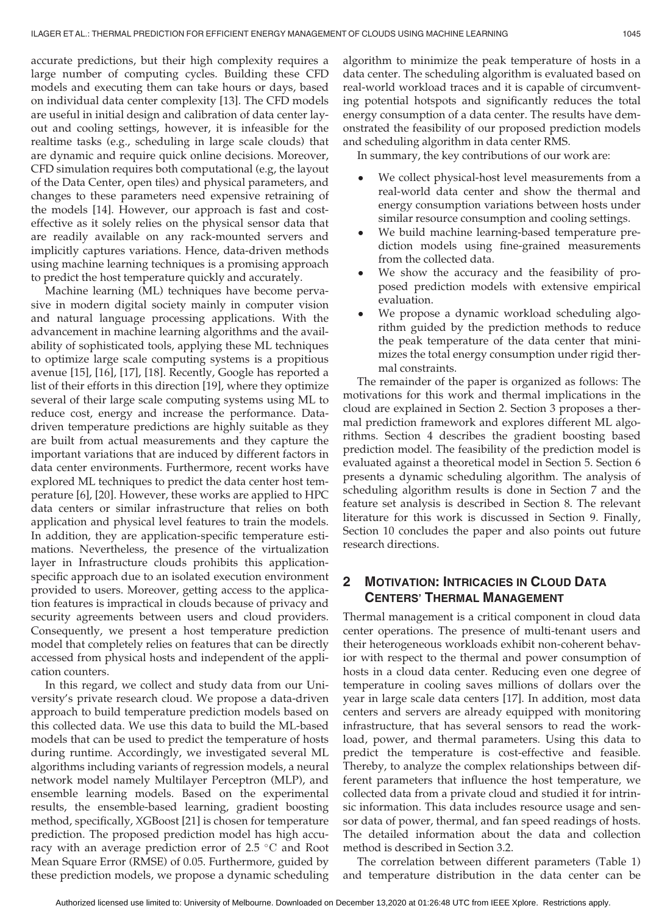accurate predictions, but their high complexity requires a large number of computing cycles. Building these CFD models and executing them can take hours or days, based on individual data center complexity [13]. The CFD models are useful in initial design and calibration of data center layout and cooling settings, however, it is infeasible for the realtime tasks (e.g., scheduling in large scale clouds) that are dynamic and require quick online decisions. Moreover, CFD simulation requires both computational (e.g, the layout of the Data Center, open tiles) and physical parameters, and changes to these parameters need expensive retraining of the models [14]. However, our approach is fast and costeffective as it solely relies on the physical sensor data that are readily available on any rack-mounted servers and implicitly captures variations. Hence, data-driven methods using machine learning techniques is a promising approach to predict the host temperature quickly and accurately.

Machine learning (ML) techniques have become pervasive in modern digital society mainly in computer vision and natural language processing applications. With the advancement in machine learning algorithms and the availability of sophisticated tools, applying these ML techniques to optimize large scale computing systems is a propitious avenue [15], [16], [17], [18]. Recently, Google has reported a list of their efforts in this direction [19], where they optimize several of their large scale computing systems using ML to reduce cost, energy and increase the performance. Datadriven temperature predictions are highly suitable as they are built from actual measurements and they capture the important variations that are induced by different factors in data center environments. Furthermore, recent works have explored ML techniques to predict the data center host temperature [6], [20]. However, these works are applied to HPC data centers or similar infrastructure that relies on both application and physical level features to train the models. In addition, they are application-specific temperature estimations. Nevertheless, the presence of the virtualization layer in Infrastructure clouds prohibits this applicationspecific approach due to an isolated execution environment provided to users. Moreover, getting access to the application features is impractical in clouds because of privacy and security agreements between users and cloud providers. Consequently, we present a host temperature prediction model that completely relies on features that can be directly accessed from physical hosts and independent of the application counters.

In this regard, we collect and study data from our University's private research cloud. We propose a data-driven approach to build temperature prediction models based on this collected data. We use this data to build the ML-based models that can be used to predict the temperature of hosts during runtime. Accordingly, we investigated several ML algorithms including variants of regression models, a neural network model namely Multilayer Perceptron (MLP), and ensemble learning models. Based on the experimental results, the ensemble-based learning, gradient boosting method, specifically, XGBoost [21] is chosen for temperature prediction. The proposed prediction model has high accuracy with an average prediction error of 2.5  $\degree$ C and Root Mean Square Error (RMSE) of 0.05. Furthermore, guided by these prediction models, we propose a dynamic scheduling algorithm to minimize the peak temperature of hosts in a data center. The scheduling algorithm is evaluated based on real-world workload traces and it is capable of circumventing potential hotspots and significantly reduces the total energy consumption of a data center. The results have demonstrated the feasibility of our proposed prediction models and scheduling algorithm in data center RMS.

In summary, the key contributions of our work are:

- We collect physical-host level measurements from a real-world data center and show the thermal and energy consumption variations between hosts under similar resource consumption and cooling settings.
- We build machine learning-based temperature prediction models using fine-grained measurements from the collected data.
- We show the accuracy and the feasibility of proposed prediction models with extensive empirical evaluation.
- We propose a dynamic workload scheduling algorithm guided by the prediction methods to reduce the peak temperature of the data center that minimizes the total energy consumption under rigid thermal constraints.

The remainder of the paper is organized as follows: The motivations for this work and thermal implications in the cloud are explained in Section 2. Section 3 proposes a thermal prediction framework and explores different ML algorithms. Section 4 describes the gradient boosting based prediction model. The feasibility of the prediction model is evaluated against a theoretical model in Section 5. Section 6 presents a dynamic scheduling algorithm. The analysis of scheduling algorithm results is done in Section 7 and the feature set analysis is described in Section 8. The relevant literature for this work is discussed in Section 9. Finally, Section 10 concludes the paper and also points out future research directions.

## 2 MOTIVATION: INTRICACIES IN CLOUD DATA CENTERS' THERMAL MANAGEMENT

Thermal management is a critical component in cloud data center operations. The presence of multi-tenant users and their heterogeneous workloads exhibit non-coherent behavior with respect to the thermal and power consumption of hosts in a cloud data center. Reducing even one degree of temperature in cooling saves millions of dollars over the year in large scale data centers [17]. In addition, most data centers and servers are already equipped with monitoring infrastructure, that has several sensors to read the workload, power, and thermal parameters. Using this data to predict the temperature is cost-effective and feasible. Thereby, to analyze the complex relationships between different parameters that influence the host temperature, we collected data from a private cloud and studied it for intrinsic information. This data includes resource usage and sensor data of power, thermal, and fan speed readings of hosts. The detailed information about the data and collection method is described in Section 3.2.

The correlation between different parameters (Table 1) and temperature distribution in the data center can be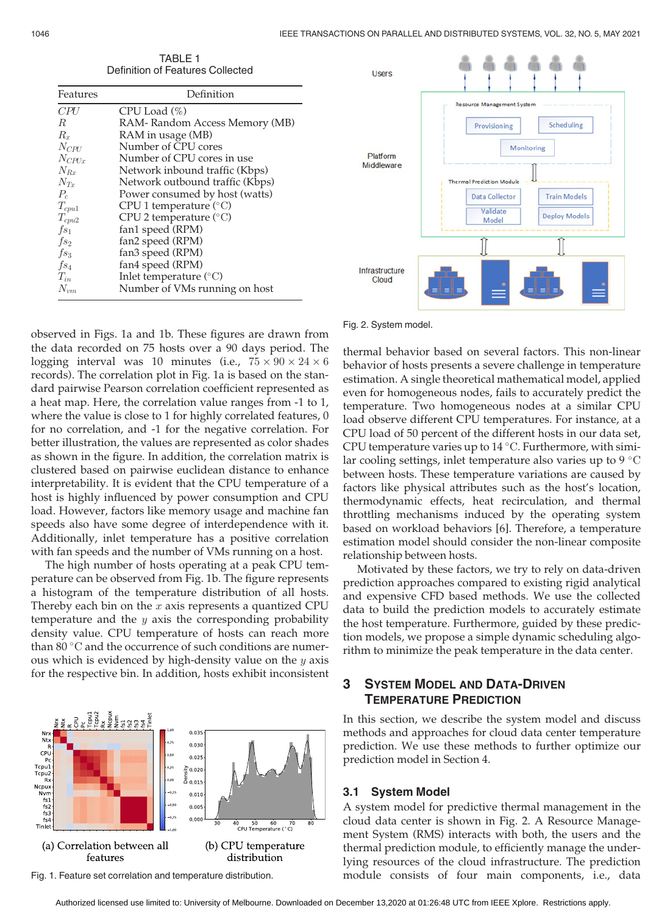| Features   | Definition                      |  |  |  |
|------------|---------------------------------|--|--|--|
| CPU        | $CPU$ Load $(\%)$               |  |  |  |
| R.         | RAM- Random Access Memory (MB)  |  |  |  |
| $R_r$      | RAM in usage (MB)               |  |  |  |
| $N_{CPU}$  | Number of CPU cores             |  |  |  |
| $N_{CPIr}$ | Number of CPU cores in use      |  |  |  |
| $N_{Br}$   | Network inbound traffic (Kbps)  |  |  |  |
| $N_{Tr}$   | Network outbound traffic (Kbps) |  |  |  |
| $P_c$      | Power consumed by host (watts)  |  |  |  |
| $T_{cpu1}$ | CPU 1 temperature (°C)          |  |  |  |
| $T_{cpu2}$ | CPU 2 temperature (°C)          |  |  |  |
| $f_{S_1}$  | fan1 speed (RPM)                |  |  |  |
| $f_{s_2}$  | fan2 speed (RPM)                |  |  |  |
| $f_{33}$   | fan3 speed (RPM)                |  |  |  |
| $fs_4$     | fan4 speed (RPM)                |  |  |  |
| $T_{in}$   | Inlet temperature $(^{\circ}C)$ |  |  |  |
| $N_{vm}$   | Number of VMs running on host   |  |  |  |

TABLE 1 Definition of Features Collected

observed in Figs. 1a and 1b. These figures are drawn from the data recorded on 75 hosts over a 90 days period. The logging interval was 10 minutes (i.e.,  $75 \times 90 \times 24 \times 6$ records). The correlation plot in Fig. 1a is based on the standard pairwise Pearson correlation coefficient represented as a heat map. Here, the correlation value ranges from -1 to 1, where the value is close to 1 for highly correlated features, 0 for no correlation, and -1 for the negative correlation. For better illustration, the values are represented as color shades as shown in the figure. In addition, the correlation matrix is clustered based on pairwise euclidean distance to enhance interpretability. It is evident that the CPU temperature of a host is highly influenced by power consumption and CPU load. However, factors like memory usage and machine fan speeds also have some degree of interdependence with it. Additionally, inlet temperature has a positive correlation with fan speeds and the number of VMs running on a host.

The high number of hosts operating at a peak CPU temperature can be observed from Fig. 1b. The figure represents a histogram of the temperature distribution of all hosts. Thereby each bin on the  $x$  axis represents a quantized CPU temperature and the  $y$  axis the corresponding probability density value. CPU temperature of hosts can reach more than  $80\textdegree C$  and the occurrence of such conditions are numerous which is evidenced by high-density value on the  $y$  axis for the respective bin. In addition, hosts exhibit inconsistent



Fig. 1. Feature set correlation and temperature distribution.



Fig. 2. System model.

thermal behavior based on several factors. This non-linear behavior of hosts presents a severe challenge in temperature estimation. A single theoretical mathematical model, applied even for homogeneous nodes, fails to accurately predict the temperature. Two homogeneous nodes at a similar CPU load observe different CPU temperatures. For instance, at a CPU load of 50 percent of the different hosts in our data set, CPU temperature varies up to  $14^{\circ}$ C. Furthermore, with similar cooling settings, inlet temperature also varies up to  $9^{\circ}$ C between hosts. These temperature variations are caused by factors like physical attributes such as the host's location, thermodynamic effects, heat recirculation, and thermal throttling mechanisms induced by the operating system based on workload behaviors [6]. Therefore, a temperature estimation model should consider the non-linear composite relationship between hosts.

Motivated by these factors, we try to rely on data-driven prediction approaches compared to existing rigid analytical and expensive CFD based methods. We use the collected data to build the prediction models to accurately estimate the host temperature. Furthermore, guided by these prediction models, we propose a simple dynamic scheduling algorithm to minimize the peak temperature in the data center.

# 3 SYSTEM MODEL AND DATA-DRIVEN TEMPERATURE PREDICTION

In this section, we describe the system model and discuss methods and approaches for cloud data center temperature prediction. We use these methods to further optimize our prediction model in Section 4.

## 3.1 System Model

A system model for predictive thermal management in the cloud data center is shown in Fig. 2. A Resource Management System (RMS) interacts with both, the users and the thermal prediction module, to efficiently manage the underlying resources of the cloud infrastructure. The prediction module consists of four main components, i.e., data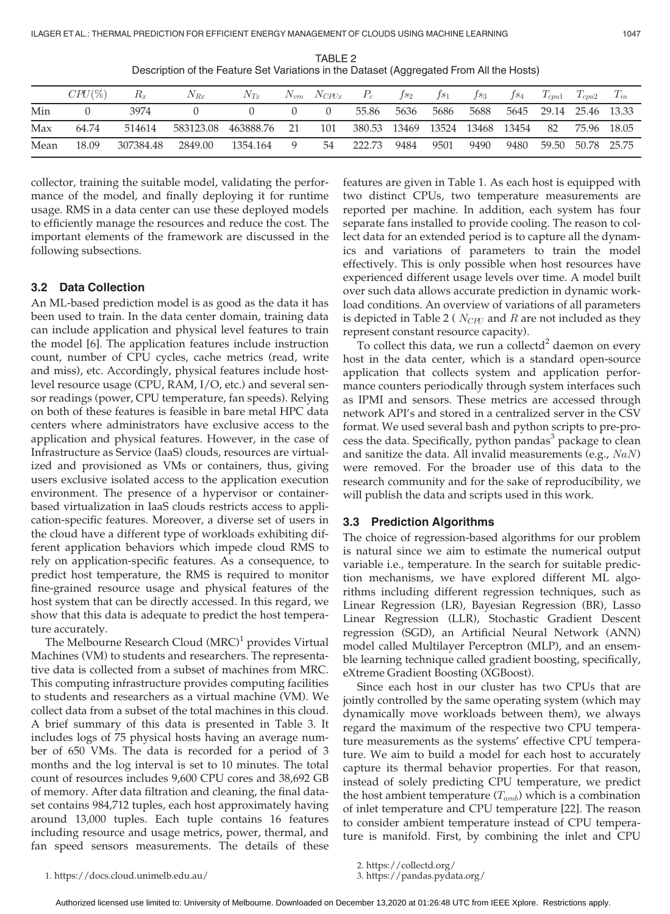TABLE 2 Description of the Feature Set Variations in the Dataset (Aggregated From All the Hosts)

|      | $CPU(\%)$ | $R_r$     | $N_{Rx}$ | $N_{Tx}$               |                  | $N_{vm}$ $N_{CPUx}$ $P_c$ |                                   | $f_{2}$ | $fs_1$ | $f_{3}$ | $f_{24}$ $T_{coul}$ $T_{coul}$ $T_{in}$ |             |  |
|------|-----------|-----------|----------|------------------------|------------------|---------------------------|-----------------------------------|---------|--------|---------|-----------------------------------------|-------------|--|
| Min  |           | 3974      |          |                        | $\left( \right)$ | $\hspace{0.6cm}0$         | 55.86                             | 5636    | 5686   | 5688    | 5645 29.14 25.46 13.33                  |             |  |
| Max  | 64.74     | 514614    |          | 583123.08 463888.76 21 |                  | 101                       | 380.53 13469 13524 13468 13454 82 |         |        |         |                                         | 75.96 18.05 |  |
| Mean | 18.09     | 307384.48 | 2849.00  | 1354.164               | - 9              | 54                        | 222.73                            | 9484    | 9501   | 9490    | 9480 59.50 50.78 25.75                  |             |  |

collector, training the suitable model, validating the performance of the model, and finally deploying it for runtime usage. RMS in a data center can use these deployed models to efficiently manage the resources and reduce the cost. The important elements of the framework are discussed in the following subsections.

## 3.2 Data Collection

An ML-based prediction model is as good as the data it has been used to train. In the data center domain, training data can include application and physical level features to train the model [6]. The application features include instruction count, number of CPU cycles, cache metrics (read, write and miss), etc. Accordingly, physical features include hostlevel resource usage (CPU, RAM, I/O, etc.) and several sensor readings (power, CPU temperature, fan speeds). Relying on both of these features is feasible in bare metal HPC data centers where administrators have exclusive access to the application and physical features. However, in the case of Infrastructure as Service (IaaS) clouds, resources are virtualized and provisioned as VMs or containers, thus, giving users exclusive isolated access to the application execution environment. The presence of a hypervisor or containerbased virtualization in IaaS clouds restricts access to application-specific features. Moreover, a diverse set of users in the cloud have a different type of workloads exhibiting different application behaviors which impede cloud RMS to rely on application-specific features. As a consequence, to predict host temperature, the RMS is required to monitor fine-grained resource usage and physical features of the host system that can be directly accessed. In this regard, we show that this data is adequate to predict the host temperature accurately.

The Melbourne Research Cloud  $(MRC)^1$  provides Virtual Machines (VM) to students and researchers. The representative data is collected from a subset of machines from MRC. This computing infrastructure provides computing facilities to students and researchers as a virtual machine (VM). We collect data from a subset of the total machines in this cloud. A brief summary of this data is presented in Table 3. It includes logs of 75 physical hosts having an average number of 650 VMs. The data is recorded for a period of 3 months and the log interval is set to 10 minutes. The total count of resources includes 9,600 CPU cores and 38,692 GB of memory. After data filtration and cleaning, the final dataset contains 984,712 tuples, each host approximately having around 13,000 tuples. Each tuple contains 16 features including resource and usage metrics, power, thermal, and fan speed sensors measurements. The details of these

features are given in Table 1. As each host is equipped with two distinct CPUs, two temperature measurements are reported per machine. In addition, each system has four separate fans installed to provide cooling. The reason to collect data for an extended period is to capture all the dynamics and variations of parameters to train the model effectively. This is only possible when host resources have experienced different usage levels over time. A model built over such data allows accurate prediction in dynamic workload conditions. An overview of variations of all parameters is depicted in Table 2 ( $N_{CPU}$  and R are not included as they represent constant resource capacity).

To collect this data, we run a collectd<sup>2</sup> daemon on every host in the data center, which is a standard open-source application that collects system and application performance counters periodically through system interfaces such as IPMI and sensors. These metrics are accessed through network API's and stored in a centralized server in the CSV format. We used several bash and python scripts to pre-process the data. Specifically, python pandas<sup>3</sup> package to clean and sanitize the data. All invalid measurements (e.g.,  $NaN$ ) were removed. For the broader use of this data to the research community and for the sake of reproducibility, we will publish the data and scripts used in this work.

#### 3.3 Prediction Algorithms

The choice of regression-based algorithms for our problem is natural since we aim to estimate the numerical output variable i.e., temperature. In the search for suitable prediction mechanisms, we have explored different ML algorithms including different regression techniques, such as Linear Regression (LR), Bayesian Regression (BR), Lasso Linear Regression (LLR), Stochastic Gradient Descent regression (SGD), an Artificial Neural Network (ANN) model called Multilayer Perceptron (MLP), and an ensemble learning technique called gradient boosting, specifically, eXtreme Gradient Boosting (XGBoost).

Since each host in our cluster has two CPUs that are jointly controlled by the same operating system (which may dynamically move workloads between them), we always regard the maximum of the respective two CPU temperature measurements as the systems' effective CPU temperature. We aim to build a model for each host to accurately capture its thermal behavior properties. For that reason, instead of solely predicting CPU temperature, we predict the host ambient temperature  $(T_{amb})$  which is a combination of inlet temperature and CPU temperature [22]. The reason to consider ambient temperature instead of CPU temperature is manifold. First, by combining the inlet and CPU

```
1. https://docs.cloud.unimelb.edu.au/
```
<sup>2.</sup> <https://collectd.org/>

<sup>3.</sup> <https://pandas.pydata.org/>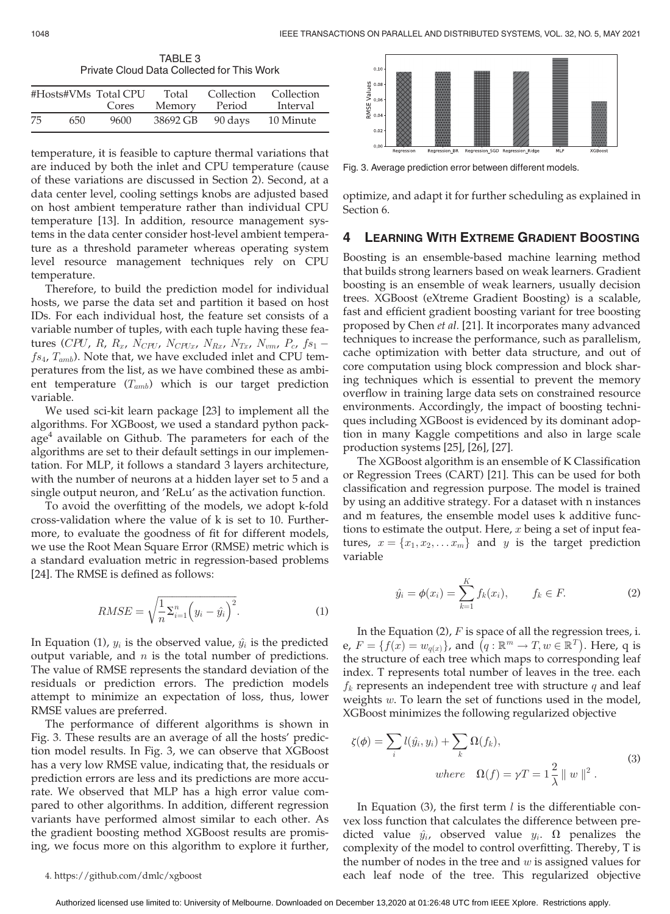TABLE 3 Private Cloud Data Collected for This Work

|    |     | #Hosts#VMs Total CPU<br>Cores | Total<br>Memory | Collection<br>Period | Collection<br>Interval |
|----|-----|-------------------------------|-----------------|----------------------|------------------------|
| 75 | 650 | 9600                          | 38692 GB        | 90 days              | 10 Minute              |

temperature, it is feasible to capture thermal variations that are induced by both the inlet and CPU temperature (cause of these variations are discussed in Section 2). Second, at a data center level, cooling settings knobs are adjusted based on host ambient temperature rather than individual CPU temperature [13]. In addition, resource management systems in the data center consider host-level ambient temperature as a threshold parameter whereas operating system level resource management techniques rely on CPU temperature.

Therefore, to build the prediction model for individual hosts, we parse the data set and partition it based on host IDs. For each individual host, the feature set consists of a variable number of tuples, with each tuple having these features (CPU, R, R<sub>x</sub>, N<sub>CPU</sub>, N<sub>CPUx</sub>, N<sub>Rx</sub>, N<sub>Tx</sub>, N<sub>vm</sub>, P<sub>c</sub>, fs<sub>1</sub> –  $fs_4$ ,  $T_{amb}$ ). Note that, we have excluded inlet and CPU temperatures from the list, as we have combined these as ambient temperature  $(T_{amb})$  which is our target prediction variable.

We used sci-kit learn package [23] to implement all the algorithms. For XGBoost, we used a standard python package $4$  available on Github. The parameters for each of the algorithms are set to their default settings in our implementation. For MLP, it follows a standard 3 layers architecture, with the number of neurons at a hidden layer set to 5 and a single output neuron, and 'ReLu' as the activation function.

To avoid the overfitting of the models, we adopt k-fold cross-validation where the value of k is set to 10. Furthermore, to evaluate the goodness of fit for different models, we use the Root Mean Square Error (RMSE) metric which is a standard evaluation metric in regression-based problems [24]. The RMSE is defined as follows:

RMSE = 
$$
\sqrt{\frac{1}{n} \sum_{i=1}^{n} (y_i - \hat{y}_i)^2}
$$
. (1)

In Equation (1),  $y_i$  is the observed value,  $\hat{y}_i$  is the predicted output variable, and  $n$  is the total number of predictions. The value of RMSE represents the standard deviation of the residuals or prediction errors. The prediction models attempt to minimize an expectation of loss, thus, lower RMSE values are preferred.

The performance of different algorithms is shown in Fig. 3. These results are an average of all the hosts' prediction model results. In Fig. 3, we can observe that XGBoost has a very low RMSE value, indicating that, the residuals or prediction errors are less and its predictions are more accurate. We observed that MLP has a high error value compared to other algorithms. In addition, different regression variants have performed almost similar to each other. As the gradient boosting method XGBoost results are promising, we focus more on this algorithm to explore it further,



Fig. 3. Average prediction error between different models.

optimize, and adapt it for further scheduling as explained in Section 6.

# 4 LEARNING WITH EXTREME GRADIENT BOOSTING

Boosting is an ensemble-based machine learning method that builds strong learners based on weak learners. Gradient boosting is an ensemble of weak learners, usually decision trees. XGBoost (eXtreme Gradient Boosting) is a scalable, fast and efficient gradient boosting variant for tree boosting proposed by Chen et al. [21]. It incorporates many advanced techniques to increase the performance, such as parallelism, cache optimization with better data structure, and out of core computation using block compression and block sharing techniques which is essential to prevent the memory overflow in training large data sets on constrained resource environments. Accordingly, the impact of boosting techniques including XGBoost is evidenced by its dominant adoption in many Kaggle competitions and also in large scale production systems [25], [26], [27].

The XGBoost algorithm is an ensemble of K Classification or Regression Trees (CART) [21]. This can be used for both classification and regression purpose. The model is trained by using an additive strategy. For a dataset with n instances and m features, the ensemble model uses k additive functions to estimate the output. Here,  $x$  being a set of input features,  $x = \{x_1, x_2, \dots x_m\}$  and y is the target prediction variable

$$
\hat{y}_i = \phi(x_i) = \sum_{k=1}^K f_k(x_i), \qquad f_k \in F.
$$
\n(2)

In the Equation (2),  $F$  is space of all the regression trees, i. e,  $F = \{f(x) = w_{q(x)}\}\$ , and  $(q : \mathbb{R}^m \to T, w \in \mathbb{R}^T)$ . Here, q is the structure of each tree which maps to corresponding leaf index. T represents total number of leaves in the tree. each  $f_k$  represents an independent tree with structure q and leaf weights w. To learn the set of functions used in the model, XGBoost minimizes the following regularized objective

$$
\zeta(\phi) = \sum_{i} l(\hat{y}_i, y_i) + \sum_{k} \Omega(f_k),
$$
  
where  $\Omega(f) = \gamma T = 1 \frac{2}{\lambda} ||w||^2$ . (3)

In Equation (3), the first term  $l$  is the differentiable convex loss function that calculates the difference between predicted value  $\hat{y}_i$ , observed value  $y_i$ .  $\Omega$  penalizes the complexity of the model to control overfitting. Thereby, T is the number of nodes in the tree and  $w$  is assigned values for each leaf node of the tree. This regularized objective

Authorized licensed use limited to: University of Melbourne. Downloaded on December 13,2020 at 01:26:48 UTC from IEEE Xplore. Restrictions apply.

<sup>4.</sup> <https://github.com/dmlc/xgboost>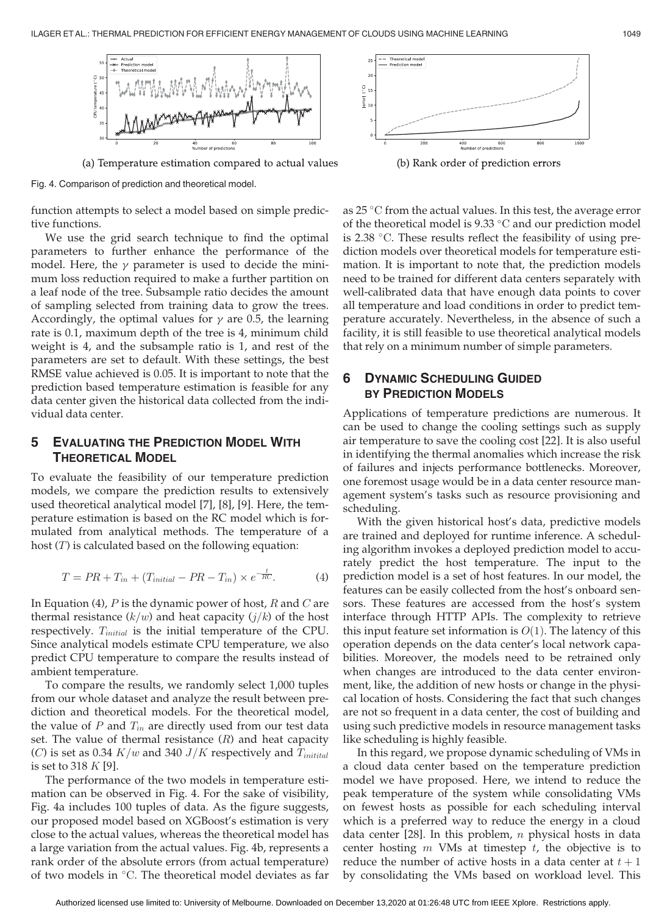

(a) Temperature estimation compared to actual values

Fig. 4. Comparison of prediction and theoretical model.

function attempts to select a model based on simple predictive functions.

We use the grid search technique to find the optimal parameters to further enhance the performance of the model. Here, the  $\gamma$  parameter is used to decide the minimum loss reduction required to make a further partition on a leaf node of the tree. Subsample ratio decides the amount of sampling selected from training data to grow the trees. Accordingly, the optimal values for  $\gamma$  are 0.5, the learning rate is 0.1, maximum depth of the tree is 4, minimum child weight is 4, and the subsample ratio is 1, and rest of the parameters are set to default. With these settings, the best RMSE value achieved is 0.05. It is important to note that the prediction based temperature estimation is feasible for any data center given the historical data collected from the individual data center.

## 5 EVALUATING THE PREDICTION MODEL WITH THEORETICAL MODEL

To evaluate the feasibility of our temperature prediction models, we compare the prediction results to extensively used theoretical analytical model [7], [8], [9]. Here, the temperature estimation is based on the RC model which is formulated from analytical methods. The temperature of a host  $(T)$  is calculated based on the following equation:

$$
T = PR + T_{in} + (T_{initial} - PR - T_{in}) \times e^{-\frac{t}{RC}}.
$$
 (4)

In Equation (4),  $P$  is the dynamic power of host,  $R$  and  $C$  are thermal resistance  $(k/w)$  and heat capacity  $(j/k)$  of the host respectively.  $T_{initial}$  is the initial temperature of the CPU. Since analytical models estimate CPU temperature, we also predict CPU temperature to compare the results instead of ambient temperature.

To compare the results, we randomly select 1,000 tuples from our whole dataset and analyze the result between prediction and theoretical models. For the theoretical model, the value of  $P$  and  $T_{in}$  are directly used from our test data set. The value of thermal resistance  $(R)$  and heat capacity (C) is set as 0.34  $K/w$  and 340  $J/K$  respectively and  $T_{initial}$ is set to 318 K [9].

The performance of the two models in temperature estimation can be observed in Fig. 4. For the sake of visibility, Fig. 4a includes 100 tuples of data. As the figure suggests, our proposed model based on XGBoost's estimation is very close to the actual values, whereas the theoretical model has a large variation from the actual values. Fig. 4b, represents a rank order of the absolute errors (from actual temperature) of two models in  $°C$ . The theoretical model deviates as far



(b) Rank order of prediction errors

as  $25^{\circ}$ C from the actual values. In this test, the average error of the theoretical model is  $9.33 \text{ }^{\circ}$ C and our prediction model is 2.38  $\degree$ C. These results reflect the feasibility of using prediction models over theoretical models for temperature estimation. It is important to note that, the prediction models need to be trained for different data centers separately with well-calibrated data that have enough data points to cover all temperature and load conditions in order to predict temperature accurately. Nevertheless, in the absence of such a facility, it is still feasible to use theoretical analytical models that rely on a minimum number of simple parameters.

# 6 DYNAMIC SCHEDULING GUIDED BY PREDICTION MODELS

Applications of temperature predictions are numerous. It can be used to change the cooling settings such as supply air temperature to save the cooling cost [22]. It is also useful in identifying the thermal anomalies which increase the risk of failures and injects performance bottlenecks. Moreover, one foremost usage would be in a data center resource management system's tasks such as resource provisioning and scheduling.

With the given historical host's data, predictive models are trained and deployed for runtime inference. A scheduling algorithm invokes a deployed prediction model to accurately predict the host temperature. The input to the prediction model is a set of host features. In our model, the features can be easily collected from the host's onboard sensors. These features are accessed from the host's system interface through HTTP APIs. The complexity to retrieve this input feature set information is  $O(1)$ . The latency of this operation depends on the data center's local network capabilities. Moreover, the models need to be retrained only when changes are introduced to the data center environment, like, the addition of new hosts or change in the physical location of hosts. Considering the fact that such changes are not so frequent in a data center, the cost of building and using such predictive models in resource management tasks like scheduling is highly feasible.

In this regard, we propose dynamic scheduling of VMs in a cloud data center based on the temperature prediction model we have proposed. Here, we intend to reduce the peak temperature of the system while consolidating VMs on fewest hosts as possible for each scheduling interval which is a preferred way to reduce the energy in a cloud data center [28]. In this problem,  $n$  physical hosts in data center hosting  $m$  VMs at timestep  $t$ , the objective is to reduce the number of active hosts in a data center at  $t + 1$ by consolidating the VMs based on workload level. This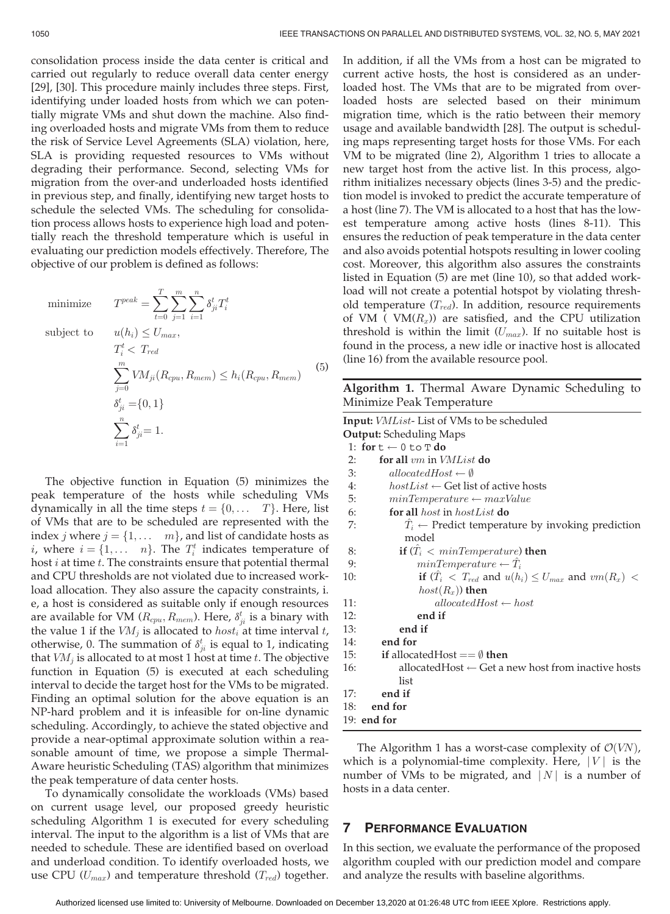consolidation process inside the data center is critical and carried out regularly to reduce overall data center energy [29], [30]. This procedure mainly includes three steps. First, identifying under loaded hosts from which we can potentially migrate VMs and shut down the machine. Also finding overloaded hosts and migrate VMs from them to reduce the risk of Service Level Agreements (SLA) violation, here, SLA is providing requested resources to VMs without degrading their performance. Second, selecting VMs for migration from the over-and underloaded hosts identified in previous step, and finally, identifying new target hosts to schedule the selected VMs. The scheduling for consolidation process allows hosts to experience high load and potentially reach the threshold temperature which is useful in evaluating our prediction models effectively. Therefore, The objective of our problem is defined as follows:

 $\frac{m}{m}$   $\frac{n}{m}$ 

minimize 
$$
T^{peak} = \sum_{t=0}^{T} \sum_{j=1}^{m} \sum_{i=1}^{n} \delta_{ji}^{t} T_{i}^{t}
$$
  
subject to 
$$
u(h_{i}) \leq U_{max},
$$

$$
T_{i}^{t} < T_{red}
$$

$$
\sum_{j=0}^{m} VM_{ji}(R_{cpu}, R_{mem}) \leq h_{i}(R_{cpu}, R_{mem)
$$

$$
\delta_{ji}^{t} = \{0, 1\}
$$

$$
\sum_{i=1}^{n} \delta_{ji}^{t} = 1.
$$

$$
(5)
$$

The objective function in Equation (5) minimizes the peak temperature of the hosts while scheduling VMs dynamically in all the time steps  $t = \{0, \ldots T\}$ . Here, list of VMs that are to be scheduled are represented with the index *j* where  $j = \{1, \ldots \mid m\}$ , and list of candidate hosts as *i*, where  $i = \{1, \ldots, n\}$ . The  $T_i^t$  indicates temperature of host *i* at time *t*. The constraints ensure that potential thermal host  $i$  at time  $t$ . The constraints ensure that potential thermal and CPU thresholds are not violated due to increased workload allocation. They also assure the capacity constraints, i. e, a host is considered as suitable only if enough resources are available for VM ( $R_{cpu}, R_{mem}$ ). Here,  $\delta_{ji}^t$  is a binary with the value 1 if the  $VM<sub>i</sub>$  is allocated to  $host<sub>i</sub>$  at time interval t, otherwise, 0. The summation of  $\delta_{ji}^t$  is equal to 1, indicating that  $VM<sub>j</sub>$  is allocated to at most 1 host at time t. The objective function in Equation (5) is executed at each scheduling interval to decide the target host for the VMs to be migrated. Finding an optimal solution for the above equation is an NP-hard problem and it is infeasible for on-line dynamic scheduling. Accordingly, to achieve the stated objective and provide a near-optimal approximate solution within a reasonable amount of time, we propose a simple Thermal-Aware heuristic Scheduling (TAS) algorithm that minimizes the peak temperature of data center hosts.

To dynamically consolidate the workloads (VMs) based on current usage level, our proposed greedy heuristic scheduling Algorithm 1 is executed for every scheduling interval. The input to the algorithm is a list of VMs that are needed to schedule. These are identified based on overload and underload condition. To identify overloaded hosts, we use CPU ( $U_{max}$ ) and temperature threshold ( $T_{red}$ ) together.

In addition, if all the VMs from a host can be migrated to current active hosts, the host is considered as an underloaded host. The VMs that are to be migrated from overloaded hosts are selected based on their minimum migration time, which is the ratio between their memory usage and available bandwidth [28]. The output is scheduling maps representing target hosts for those VMs. For each VM to be migrated (line 2), Algorithm 1 tries to allocate a new target host from the active list. In this process, algorithm initializes necessary objects (lines 3-5) and the prediction model is invoked to predict the accurate temperature of a host (line 7). The VM is allocated to a host that has the lowest temperature among active hosts (lines 8-11). This ensures the reduction of peak temperature in the data center and also avoids potential hotspots resulting in lower cooling cost. Moreover, this algorithm also assures the constraints listed in Equation (5) are met (line 10), so that added workload will not create a potential hotspot by violating threshold temperature  $(T_{red})$ . In addition, resource requirements of VM (  $VM(R_x)$ ) are satisfied, and the CPU utilization threshold is within the limit  $(U_{max})$ . If no suitable host is found in the process, a new idle or inactive host is allocated (line 16) from the available resource pool.

Algorithm 1. Thermal Aware Dynamic Scheduling to Minimize Peak Temperature

|     | Input: VMList-List of VMs to be scheduled                                                                                                                  |
|-----|------------------------------------------------------------------------------------------------------------------------------------------------------------|
|     | <b>Output:</b> Scheduling Maps                                                                                                                             |
|     | 1: for $t \leftarrow 0$ to T do                                                                                                                            |
| 2:  | for all $vm$ in <i>VMList</i> do                                                                                                                           |
| 3:  | allocatedHost $\leftarrow \emptyset$                                                                                                                       |
| 4:  | $hostList \leftarrow$ Get list of active hosts                                                                                                             |
| 5:  | $minTemperature \leftarrow maxValue$                                                                                                                       |
| 6:  | for all <i>host</i> in <i>hostList</i> do                                                                                                                  |
| 7:  | $\hat{T}_i \leftarrow$ Predict temperature by invoking prediction                                                                                          |
|     | model                                                                                                                                                      |
| 8:  | if $(\hat{T}_i < minTemperature)$ then                                                                                                                     |
| 9:  | $minTemperature \leftarrow \hat{T}_i$                                                                                                                      |
| 10: | if $(T_i \, < \, T_{red} \text{ and } u(h_i) \leq U_{max} \text{ and } v m(R_x) \, < \, T_{red} \text{ and } u(h_i) \leq U_{max} \text{ and } v m(R_x) \,$ |
|     | $host(R_x)$ ) then                                                                                                                                         |
| 11: | $allocatedHost \leftarrow host$                                                                                                                            |
| 12: | end if                                                                                                                                                     |
| 13: | end if                                                                                                                                                     |
| 14: | end for                                                                                                                                                    |
| 15: | <b>if</b> allocatedHost $==$ 0 then                                                                                                                        |
| 16: | allocated Host $\leftarrow$ Get a new host from inactive hosts                                                                                             |
|     | list                                                                                                                                                       |
| 17: | end if                                                                                                                                                     |
| 18: | end for                                                                                                                                                    |
|     | $19:$ end for                                                                                                                                              |

The Algorithm 1 has a worst-case complexity of  $\mathcal{O}(VN)$ , which is a polynomial-time complexity. Here,  $|V|$  is the number of VMs to be migrated, and  $|N|$  is a number of hosts in a data center.

## 7 PERFORMANCE EVALUATION

In this section, we evaluate the performance of the proposed algorithm coupled with our prediction model and compare and analyze the results with baseline algorithms.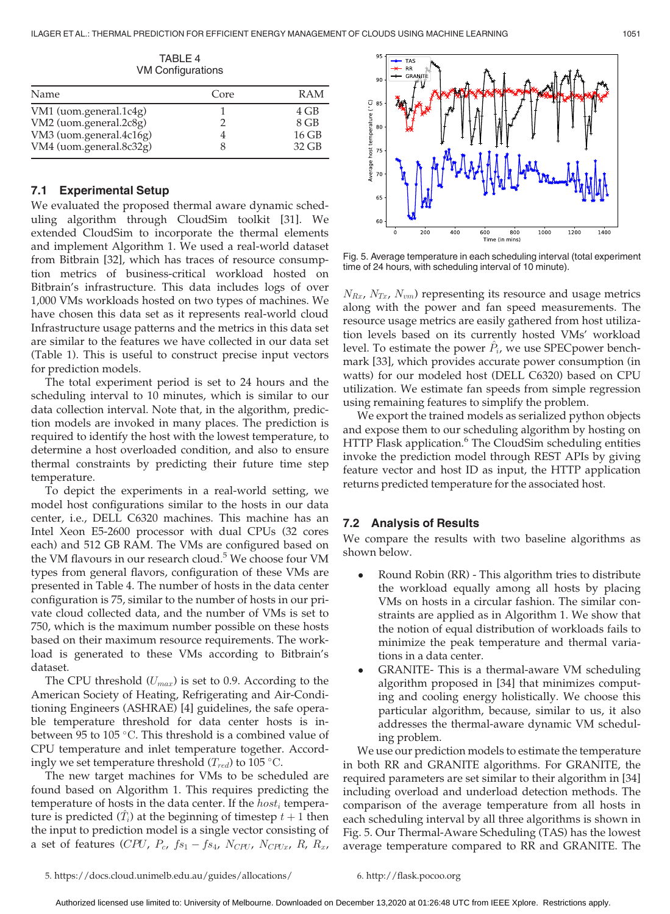TABLE 4 VM Configurations

| Name                    | Core | RAM     |
|-------------------------|------|---------|
| VM1 (uom.general.1c4g)  |      | 4 GB    |
| VM2 (uom.general.2c8g)  |      | 8 GB    |
| VM3 (uom.general.4c16g) |      | $16$ GB |
| VM4 (uom.general.8c32g) | 8    | $32$ GB |

# 7.1 Experimental Setup

We evaluated the proposed thermal aware dynamic scheduling algorithm through CloudSim toolkit [31]. We extended CloudSim to incorporate the thermal elements and implement Algorithm 1. We used a real-world dataset from Bitbrain [32], which has traces of resource consumption metrics of business-critical workload hosted on Bitbrain's infrastructure. This data includes logs of over 1,000 VMs workloads hosted on two types of machines. We have chosen this data set as it represents real-world cloud Infrastructure usage patterns and the metrics in this data set are similar to the features we have collected in our data set (Table 1). This is useful to construct precise input vectors for prediction models.

The total experiment period is set to 24 hours and the scheduling interval to 10 minutes, which is similar to our data collection interval. Note that, in the algorithm, prediction models are invoked in many places. The prediction is required to identify the host with the lowest temperature, to determine a host overloaded condition, and also to ensure thermal constraints by predicting their future time step temperature.

To depict the experiments in a real-world setting, we model host configurations similar to the hosts in our data center, i.e., DELL C6320 machines. This machine has an Intel Xeon E5-2600 processor with dual CPUs (32 cores each) and 512 GB RAM. The VMs are configured based on the VM flavours in our research cloud.<sup>5</sup> We choose four VM types from general flavors, configuration of these VMs are presented in Table 4. The number of hosts in the data center configuration is 75, similar to the number of hosts in our private cloud collected data, and the number of VMs is set to 750, which is the maximum number possible on these hosts based on their maximum resource requirements. The workload is generated to these VMs according to Bitbrain's dataset.

The CPU threshold  $(U_{max})$  is set to 0.9. According to the American Society of Heating, Refrigerating and Air-Conditioning Engineers (ASHRAE) [4] guidelines, the safe operable temperature threshold for data center hosts is inbetween 95 to 105  $\degree$ C. This threshold is a combined value of CPU temperature and inlet temperature together. Accordingly we set temperature threshold  $(T_{red})$  to 105 °C.

The new target machines for VMs to be scheduled are found based on Algorithm 1. This requires predicting the temperature of hosts in the data center. If the  $host_i$  temperature is predicted  $(\hat{T}_i)$  at the beginning of timestep  $t + 1$  then the input to prediction model is a single vector consisting of a set of features (CPU,  $P_c$ ,  $fs_1 - fs_4$ ,  $N_{CPU}$ ,  $N_{CPU}$ ,  $R$ ,  $R_x$ ,



Fig. 5. Average temperature in each scheduling interval (total experiment time of 24 hours, with scheduling interval of 10 minute).

 $N_{Rx}$ ,  $N_{Tx}$ ,  $N_{vm}$ ) representing its resource and usage metrics along with the power and fan speed measurements. The resource usage metrics are easily gathered from host utilization levels based on its currently hosted VMs' workload level. To estimate the power  $\hat{P}_i$ , we use SPEC power benchmark [33], which provides accurate power consumption (in watts) for our modeled host (DELL C6320) based on CPU utilization. We estimate fan speeds from simple regression using remaining features to simplify the problem.

We export the trained models as serialized python objects and expose them to our scheduling algorithm by hosting on HTTP Flask application.<sup>6</sup> The CloudSim scheduling entities invoke the prediction model through REST APIs by giving feature vector and host ID as input, the HTTP application returns predicted temperature for the associated host.

# 7.2 Analysis of Results

We compare the results with two baseline algorithms as shown below.

- Round Robin (RR) This algorithm tries to distribute the workload equally among all hosts by placing VMs on hosts in a circular fashion. The similar constraints are applied as in Algorithm 1. We show that the notion of equal distribution of workloads fails to minimize the peak temperature and thermal variations in a data center.
- GRANITE- This is a thermal-aware VM scheduling algorithm proposed in [34] that minimizes computing and cooling energy holistically. We choose this particular algorithm, because, similar to us, it also addresses the thermal-aware dynamic VM scheduling problem.

We use our prediction models to estimate the temperature in both RR and GRANITE algorithms. For GRANITE, the required parameters are set similar to their algorithm in [34] including overload and underload detection methods. The comparison of the average temperature from all hosts in each scheduling interval by all three algorithms is shown in Fig. 5. Our Thermal-Aware Scheduling (TAS) has the lowest average temperature compared to RR and GRANITE. The

<sup>5.</sup> <https://docs.cloud.unimelb.edu.au/guides/allocations/> 6. <http://flask.pocoo.org>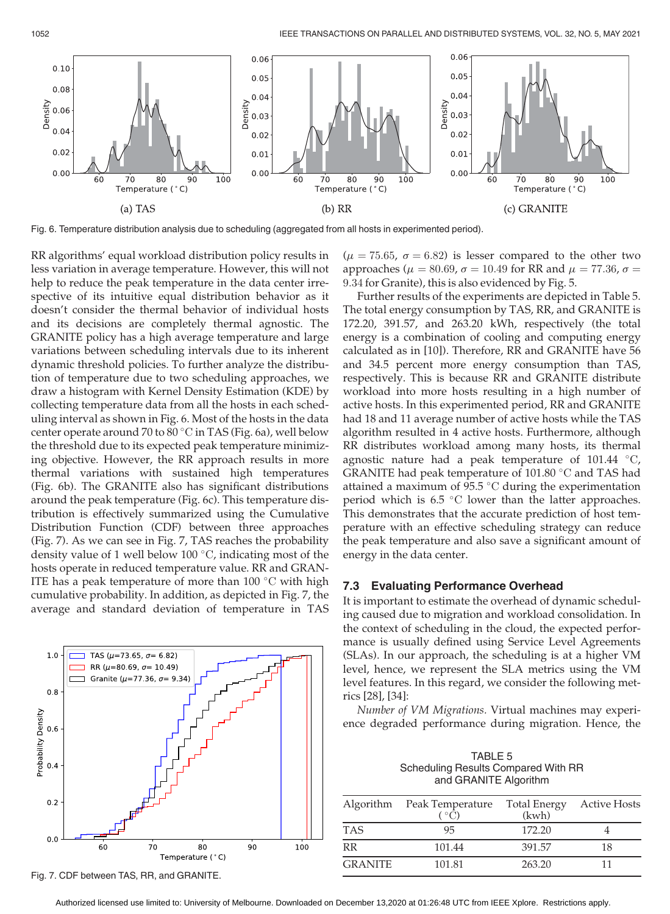

Fig. 6. Temperature distribution analysis due to scheduling (aggregated from all hosts in experimented period).

RR algorithms' equal workload distribution policy results in less variation in average temperature. However, this will not help to reduce the peak temperature in the data center irrespective of its intuitive equal distribution behavior as it doesn't consider the thermal behavior of individual hosts and its decisions are completely thermal agnostic. The GRANITE policy has a high average temperature and large variations between scheduling intervals due to its inherent dynamic threshold policies. To further analyze the distribution of temperature due to two scheduling approaches, we draw a histogram with Kernel Density Estimation (KDE) by collecting temperature data from all the hosts in each scheduling interval as shown in Fig. 6. Most of the hosts in the data center operate around 70 to 80 °C in TAS (Fig. 6a), well below the threshold due to its expected peak temperature minimizing objective. However, the RR approach results in more thermal variations with sustained high temperatures (Fig. 6b). The GRANITE also has significant distributions around the peak temperature (Fig. 6c). This temperature distribution is effectively summarized using the Cumulative Distribution Function (CDF) between three approaches (Fig. 7). As we can see in Fig. 7, TAS reaches the probability density value of 1 well below 100  $\degree$ C, indicating most of the hosts operate in reduced temperature value. RR and GRAN-ITE has a peak temperature of more than  $100\text{ °C}$  with high cumulative probability. In addition, as depicted in Fig. 7, the average and standard deviation of temperature in TAS



Fig. 7. CDF between TAS, RR, and GRANITE.

 $(\mu = 75.65, \sigma = 6.82)$  is lesser compared to the other two approaches ( $\mu = 80.69$ ,  $\sigma = 10.49$  for RR and  $\mu = 77.36$ ,  $\sigma =$ 9:34 for Granite), this is also evidenced by Fig. 5.

Further results of the experiments are depicted in Table 5. The total energy consumption by TAS, RR, and GRANITE is 172.20, 391.57, and 263.20 kWh, respectively (the total energy is a combination of cooling and computing energy calculated as in [10]). Therefore, RR and GRANITE have 56 and 34.5 percent more energy consumption than TAS, respectively. This is because RR and GRANITE distribute workload into more hosts resulting in a high number of active hosts. In this experimented period, RR and GRANITE had 18 and 11 average number of active hosts while the TAS algorithm resulted in 4 active hosts. Furthermore, although RR distributes workload among many hosts, its thermal agnostic nature had a peak temperature of  $101.44 \degree C$ , GRANITE had peak temperature of  $101.80\text{ °C}$  and TAS had attained a maximum of  $95.5\textdegree C$  during the experimentation period which is  $6.5 \text{ °C}$  lower than the latter approaches. This demonstrates that the accurate prediction of host temperature with an effective scheduling strategy can reduce the peak temperature and also save a significant amount of energy in the data center.

#### 7.3 Evaluating Performance Overhead

It is important to estimate the overhead of dynamic scheduling caused due to migration and workload consolidation. In the context of scheduling in the cloud, the expected performance is usually defined using Service Level Agreements (SLAs). In our approach, the scheduling is at a higher VM level, hence, we represent the SLA metrics using the VM level features. In this regard, we consider the following metrics [28], [34]:

Number of VM Migrations. Virtual machines may experience degraded performance during migration. Hence, the

TABLE 5 Scheduling Results Compared With RR and GRANITE Algorithm

|                | Algorithm Peak Temperature<br>$(^\circ C)$ | <b>Total Energy</b><br>(kwh) | <b>Active Hosts</b> |
|----------------|--------------------------------------------|------------------------------|---------------------|
| <b>TAS</b>     | 95                                         | 172.20                       |                     |
| <b>RR</b>      | 101.44                                     | 391.57                       | 18                  |
| <b>GRANITE</b> | 101.81                                     | 263.20                       | 11                  |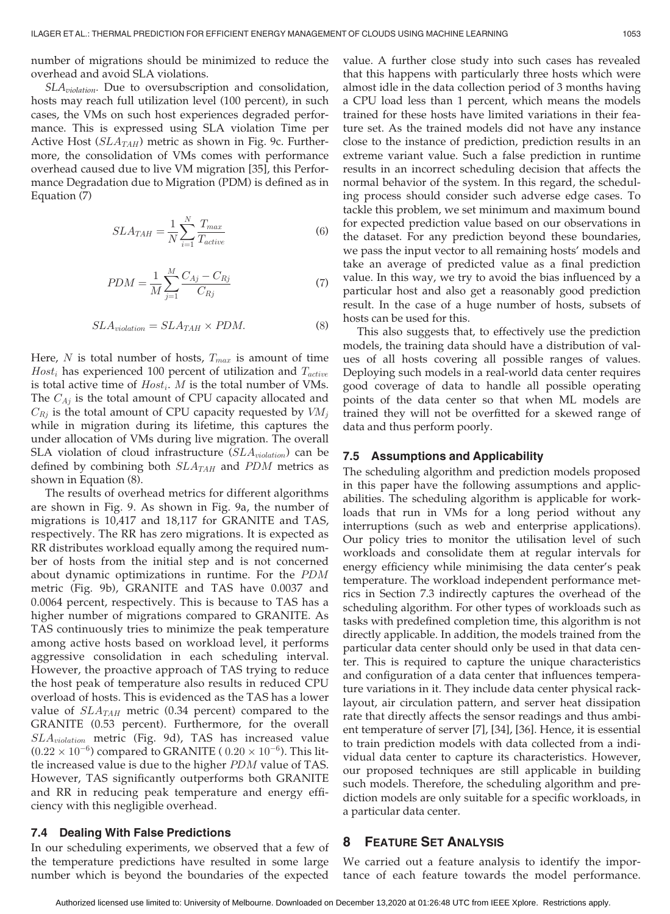number of migrations should be minimized to reduce the overhead and avoid SLA violations.

 $SLA$ <sub>violation</sub>. Due to oversubscription and consolidation, hosts may reach full utilization level (100 percent), in such cases, the VMs on such host experiences degraded performance. This is expressed using SLA violation Time per Active Host  $(SLA_{TAH})$  metric as shown in Fig. 9c. Furthermore, the consolidation of VMs comes with performance overhead caused due to live VM migration [35], this Performance Degradation due to Migration (PDM) is defined as in Equation (7)

$$
SLA_{TAH} = \frac{1}{N} \sum_{i=1}^{N} \frac{T_{max}}{T_{active}}
$$
 (6)

$$
PDM = \frac{1}{M} \sum_{j=1}^{M} \frac{C_{Aj} - C_{Rj}}{C_{Rj}}
$$
(7)

$$
SLA_{violation} = SLA_{TAH} \times PDM.
$$
 (8)

Here, N is total number of hosts,  $T_{max}$  is amount of time  $Host<sub>i</sub>$  has experienced 100 percent of utilization and  $T_{active}$ is total active time of  $Host_i$ . M is the total number of VMs. The  $C_{Aj}$  is the total amount of CPU capacity allocated and  $C_{Rj}$  is the total amount of CPU capacity requested by  $VM_j$ while in migration during its lifetime, this captures the under allocation of VMs during live migration. The overall SLA violation of cloud infrastructure  $(SLA_{violation})$  can be defined by combining both  $SLA_{TAH}$  and PDM metrics as shown in Equation (8).

The results of overhead metrics for different algorithms are shown in Fig. 9. As shown in Fig. 9a, the number of migrations is 10,417 and 18,117 for GRANITE and TAS, respectively. The RR has zero migrations. It is expected as RR distributes workload equally among the required number of hosts from the initial step and is not concerned about dynamic optimizations in runtime. For the PDM metric (Fig. 9b), GRANITE and TAS have 0.0037 and 0.0064 percent, respectively. This is because to TAS has a higher number of migrations compared to GRANITE. As TAS continuously tries to minimize the peak temperature among active hosts based on workload level, it performs aggressive consolidation in each scheduling interval. However, the proactive approach of TAS trying to reduce the host peak of temperature also results in reduced CPU overload of hosts. This is evidenced as the TAS has a lower value of  $SLA_{TAH}$  metric (0.34 percent) compared to the GRANITE (0.53 percent). Furthermore, for the overall  $SLA_{violation}$  metric (Fig. 9d), TAS has increased value  $(0.22 \times 10^{-6})$  compared to GRANITE (  $0.20 \times 10^{-6}$ ). This little increased value is due to the higher PDM value of TAS. However, TAS significantly outperforms both GRANITE and RR in reducing peak temperature and energy efficiency with this negligible overhead.

#### 7.4 Dealing With False Predictions

In our scheduling experiments, we observed that a few of the temperature predictions have resulted in some large number which is beyond the boundaries of the expected

value. A further close study into such cases has revealed that this happens with particularly three hosts which were almost idle in the data collection period of 3 months having a CPU load less than 1 percent, which means the models trained for these hosts have limited variations in their feature set. As the trained models did not have any instance close to the instance of prediction, prediction results in an extreme variant value. Such a false prediction in runtime results in an incorrect scheduling decision that affects the normal behavior of the system. In this regard, the scheduling process should consider such adverse edge cases. To tackle this problem, we set minimum and maximum bound for expected prediction value based on our observations in the dataset. For any prediction beyond these boundaries, we pass the input vector to all remaining hosts' models and take an average of predicted value as a final prediction value. In this way, we try to avoid the bias influenced by a particular host and also get a reasonably good prediction result. In the case of a huge number of hosts, subsets of hosts can be used for this.

This also suggests that, to effectively use the prediction models, the training data should have a distribution of values of all hosts covering all possible ranges of values. Deploying such models in a real-world data center requires good coverage of data to handle all possible operating points of the data center so that when ML models are trained they will not be overfitted for a skewed range of data and thus perform poorly.

#### 7.5 Assumptions and Applicability

The scheduling algorithm and prediction models proposed in this paper have the following assumptions and applicabilities. The scheduling algorithm is applicable for workloads that run in VMs for a long period without any interruptions (such as web and enterprise applications). Our policy tries to monitor the utilisation level of such workloads and consolidate them at regular intervals for energy efficiency while minimising the data center's peak temperature. The workload independent performance metrics in Section 7.3 indirectly captures the overhead of the scheduling algorithm. For other types of workloads such as tasks with predefined completion time, this algorithm is not directly applicable. In addition, the models trained from the particular data center should only be used in that data center. This is required to capture the unique characteristics and configuration of a data center that influences temperature variations in it. They include data center physical racklayout, air circulation pattern, and server heat dissipation rate that directly affects the sensor readings and thus ambient temperature of server [7], [34], [36]. Hence, it is essential to train prediction models with data collected from a individual data center to capture its characteristics. However, our proposed techniques are still applicable in building such models. Therefore, the scheduling algorithm and prediction models are only suitable for a specific workloads, in a particular data center.

## 8 FEATURE SET ANALYSIS

We carried out a feature analysis to identify the importance of each feature towards the model performance.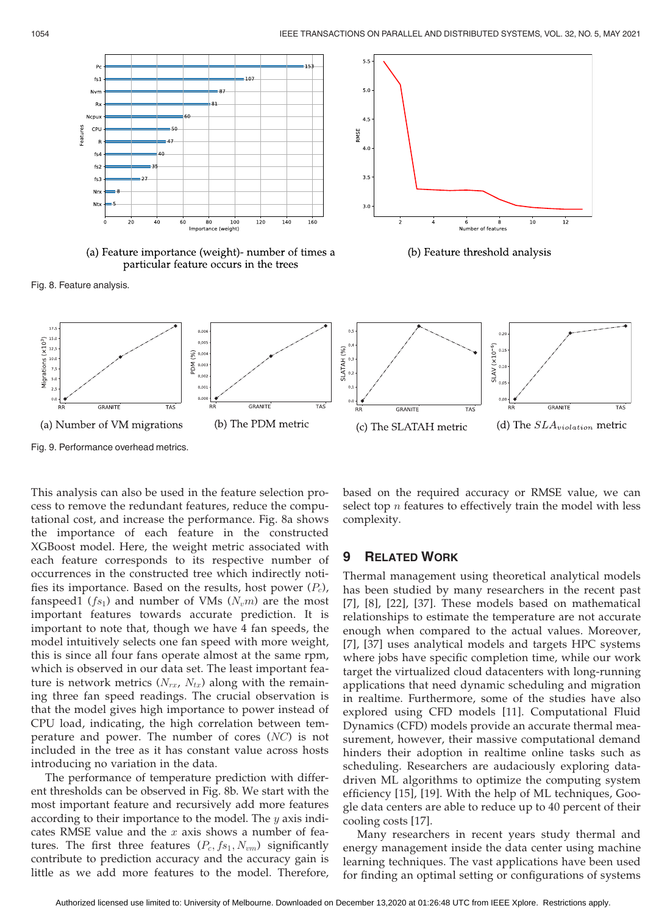.<br>Number of features

(b) Feature threshold analysis

 $5.0$ 

 $4.5$ 

 $3.5$ 

3.0

IMSE  $\overline{A}$  0



(a) Feature importance (weight)- number of times a particular feature occurs in the trees





This analysis can also be used in the feature selection process to remove the redundant features, reduce the computational cost, and increase the performance. Fig. 8a shows the importance of each feature in the constructed XGBoost model. Here, the weight metric associated with each feature corresponds to its respective number of occurrences in the constructed tree which indirectly notifies its importance. Based on the results, host power  $(P_c)$ , fanspeed1 ( $fs<sub>1</sub>$ ) and number of VMs ( $N<sub>v</sub>m$ ) are the most important features towards accurate prediction. It is important to note that, though we have 4 fan speeds, the model intuitively selects one fan speed with more weight, this is since all four fans operate almost at the same rpm, which is observed in our data set. The least important feature is network metrics  $(N_{rx}, N_{tx})$  along with the remaining three fan speed readings. The crucial observation is that the model gives high importance to power instead of CPU load, indicating, the high correlation between temperature and power. The number of cores (NC) is not included in the tree as it has constant value across hosts introducing no variation in the data.

The performance of temperature prediction with different thresholds can be observed in Fig. 8b. We start with the most important feature and recursively add more features according to their importance to the model. The  $y$  axis indicates RMSE value and the  $x$  axis shows a number of features. The first three features  $(P_c, fs_1, N_{vm})$  significantly contribute to prediction accuracy and the accuracy gain is little as we add more features to the model. Therefore,

based on the required accuracy or RMSE value, we can select top  $n$  features to effectively train the model with less complexity.

 $\overline{10}$ 

## 9 RELATED WORK

Thermal management using theoretical analytical models has been studied by many researchers in the recent past [7], [8], [22], [37]. These models based on mathematical relationships to estimate the temperature are not accurate enough when compared to the actual values. Moreover, [7], [37] uses analytical models and targets HPC systems where jobs have specific completion time, while our work target the virtualized cloud datacenters with long-running applications that need dynamic scheduling and migration in realtime. Furthermore, some of the studies have also explored using CFD models [11]. Computational Fluid Dynamics (CFD) models provide an accurate thermal measurement, however, their massive computational demand hinders their adoption in realtime online tasks such as scheduling. Researchers are audaciously exploring datadriven ML algorithms to optimize the computing system efficiency [15], [19]. With the help of ML techniques, Google data centers are able to reduce up to 40 percent of their cooling costs [17].

Many researchers in recent years study thermal and energy management inside the data center using machine learning techniques. The vast applications have been used for finding an optimal setting or configurations of systems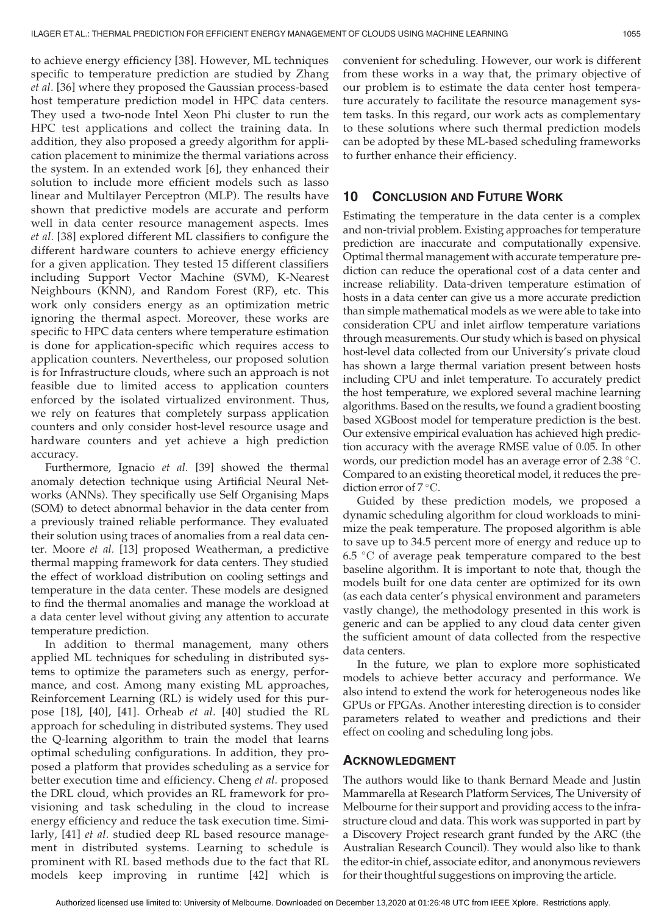to achieve energy efficiency [38]. However, ML techniques specific to temperature prediction are studied by Zhang et al. [36] where they proposed the Gaussian process-based host temperature prediction model in HPC data centers. They used a two-node Intel Xeon Phi cluster to run the HPC test applications and collect the training data. In addition, they also proposed a greedy algorithm for application placement to minimize the thermal variations across the system. In an extended work [6], they enhanced their solution to include more efficient models such as lasso linear and Multilayer Perceptron (MLP). The results have shown that predictive models are accurate and perform well in data center resource management aspects. Imes et al. [38] explored different ML classifiers to configure the different hardware counters to achieve energy efficiency for a given application. They tested 15 different classifiers including Support Vector Machine (SVM), K-Nearest Neighbours (KNN), and Random Forest (RF), etc. This work only considers energy as an optimization metric ignoring the thermal aspect. Moreover, these works are specific to HPC data centers where temperature estimation is done for application-specific which requires access to application counters. Nevertheless, our proposed solution is for Infrastructure clouds, where such an approach is not feasible due to limited access to application counters enforced by the isolated virtualized environment. Thus, we rely on features that completely surpass application counters and only consider host-level resource usage and hardware counters and yet achieve a high prediction accuracy.

Furthermore, Ignacio et al. [39] showed the thermal anomaly detection technique using Artificial Neural Networks (ANNs). They specifically use Self Organising Maps (SOM) to detect abnormal behavior in the data center from a previously trained reliable performance. They evaluated their solution using traces of anomalies from a real data center. Moore et al. [13] proposed Weatherman, a predictive thermal mapping framework for data centers. They studied the effect of workload distribution on cooling settings and temperature in the data center. These models are designed to find the thermal anomalies and manage the workload at a data center level without giving any attention to accurate temperature prediction.

In addition to thermal management, many others applied ML techniques for scheduling in distributed systems to optimize the parameters such as energy, performance, and cost. Among many existing ML approaches, Reinforcement Learning (RL) is widely used for this purpose [18], [40], [41]. Orheab et al. [40] studied the RL approach for scheduling in distributed systems. They used the Q-learning algorithm to train the model that learns optimal scheduling configurations. In addition, they proposed a platform that provides scheduling as a service for better execution time and efficiency. Cheng et al. proposed the DRL cloud, which provides an RL framework for provisioning and task scheduling in the cloud to increase energy efficiency and reduce the task execution time. Similarly, [41] et al. studied deep RL based resource management in distributed systems. Learning to schedule is prominent with RL based methods due to the fact that RL models keep improving in runtime [42] which is

convenient for scheduling. However, our work is different from these works in a way that, the primary objective of our problem is to estimate the data center host temperature accurately to facilitate the resource management system tasks. In this regard, our work acts as complementary to these solutions where such thermal prediction models can be adopted by these ML-based scheduling frameworks to further enhance their efficiency.

#### 10 CONCLUSION AND FUTURE WORK

Estimating the temperature in the data center is a complex and non-trivial problem. Existing approaches for temperature prediction are inaccurate and computationally expensive. Optimal thermal management with accurate temperature prediction can reduce the operational cost of a data center and increase reliability. Data-driven temperature estimation of hosts in a data center can give us a more accurate prediction than simple mathematical models as we were able to take into consideration CPU and inlet airflow temperature variations through measurements. Our study which is based on physical host-level data collected from our University's private cloud has shown a large thermal variation present between hosts including CPU and inlet temperature. To accurately predict the host temperature, we explored several machine learning algorithms. Based on the results, we found a gradient boosting based XGBoost model for temperature prediction is the best. Our extensive empirical evaluation has achieved high prediction accuracy with the average RMSE value of 0.05. In other words, our prediction model has an average error of 2.38  $^{\circ}$ C. Compared to an existing theoretical model, it reduces the prediction error of  $7^{\circ}$ C.

Guided by these prediction models, we proposed a dynamic scheduling algorithm for cloud workloads to minimize the peak temperature. The proposed algorithm is able to save up to 34.5 percent more of energy and reduce up to  $6.5 \text{ }^{\circ}\text{C}$  of average peak temperature compared to the best baseline algorithm. It is important to note that, though the models built for one data center are optimized for its own (as each data center's physical environment and parameters vastly change), the methodology presented in this work is generic and can be applied to any cloud data center given the sufficient amount of data collected from the respective data centers.

In the future, we plan to explore more sophisticated models to achieve better accuracy and performance. We also intend to extend the work for heterogeneous nodes like GPUs or FPGAs. Another interesting direction is to consider parameters related to weather and predictions and their effect on cooling and scheduling long jobs.

#### ACKNOWLEDGMENT

The authors would like to thank Bernard Meade and Justin Mammarella at Research Platform Services, The University of Melbourne for their support and providing access to the infrastructure cloud and data. This work was supported in part by a Discovery Project research grant funded by the ARC (the Australian Research Council). They would also like to thank the editor-in chief, associate editor, and anonymous reviewers for their thoughtful suggestions on improving the article.